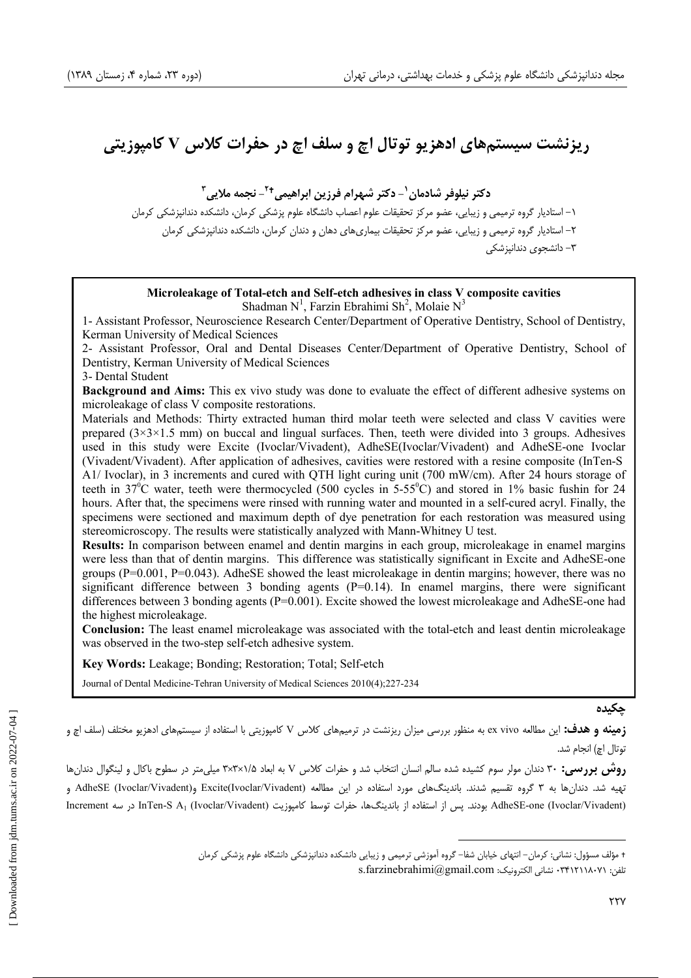# ریزنشت سیستمهای ادهزیو توتال اچ و سلف اچ در حفرات کلاس V کامپوزیتی

**\$#% & <sup>1</sup> )\* +!& ,-% - <sup>2</sup> # /)0 - <sup>3</sup>**

۱– استادیار گروه ترمیمی و زیبایی، عضو مرکز تحقیقات علوم اعصاب دانشگاه علوم پزشکی کرمان، دانشکده دندانپزشکی کرمان ۲– استادیار گروه ترمیمی و زیبایی، عضو مرکز تحقیقات بیماریهای دهان و دندان کرمان، دانشکده دندانپزشکی کرمان ۳– دانشجوی دندانیز شکی

## **Microleakage of Total-etch and Self-etch adhesives in class V composite cavities**

Shadman N<sup>1</sup>, Farzin Ebrahimi Sh<sup>2</sup>, Molaie N<sup>3</sup>

1- Assistant Professor, Neuroscience Research Center/Department of Operative Dentistry, School of Dentistry, Kerman University of Medical Sciences

2- Assistant Professor, Oral and Dental Diseases Center/Department of Operative Dentistry, School of Dentistry, Kerman University of Medical Sciences

#### 3- Dental Student

**Background and Aims:** This ex vivo study was done to evaluate the effect of different adhesive systems on microleakage of class V composite restorations.

Materials and Methods: Thirty extracted human third molar teeth were selected and class V cavities were prepared  $(3\times3\times1.5 \text{ mm})$  on buccal and lingual surfaces. Then, teeth were divided into 3 groups. Adhesives used in this study were Excite (Ivoclar/Vivadent), AdheSE(Ivoclar/Vivadent) and AdheSE-one Ivoclar (Vivadent/Vivadent). After application of adhesives, cavities were restored with a resine composite (InTen-S A1/ Ivoclar), in 3 increments and cured with QTH light curing unit (700 mW/cm). After 24 hours storage of teeth in 37<sup>°</sup>C water, teeth were thermocycled (500 cycles in 5-55<sup>°</sup>C) and stored in 1% basic fushin for 24 hours. After that, the specimens were rinsed with running water and mounted in a self-cured acryl. Finally, the specimens were sectioned and maximum depth of dye penetration for each restoration was measured using stereomicroscopy. The results were statistically analyzed with Mann-Whitney U test.

**Results:** In comparison between enamel and dentin margins in each group, microleakage in enamel margins were less than that of dentin margins. This difference was statistically significant in Excite and AdheSE-one groups (P=0.001, P=0.043). AdheSE showed the least microleakage in dentin margins; however, there was no significant difference between 3 bonding agents  $(P=0.14)$ . In enamel margins, there were significant differences between 3 bonding agents (P=0.001). Excite showed the lowest microleakage and AdheSE-one had the highest microleakage.

**Conclusion:** The least enamel microleakage was associated with the total-etch and least dentin microleakage was observed in the two-step self-etch adhesive system.

**Key Words:** Leakage; Bonding; Restoration; Total; Self-etch

Journal of Dental Medicine-Tehran University of Medical Sciences 2010(4);227-234

<u>ج</u>کیدہ

**زمینه و هدف:** این مطالعه ex vivo به منظور بررسی میزان ریزنشت در ترمیمهای کلاس V کامپوزیتی با استفاده از سیستمهای ادهزیو مختلف (سلف اچ و توتال اچ) انجام شد.

**روش بررسی:** ۳۰ دندان مولر سوم کشیده شده سالم انسان انتخاب شد و حفرات کلاس V به ابعاد ۱/۵×۳×۳ میلیمتر در سطوح باکال و لینگوال دندانها تهیه شد. دندانها به ۳ گروه تقسیم شدند. باندینگهای مورد استفاده در این مطالعه (Excite(Ivoclar/Vivadent وAdheSE (Ivoclar/Vivadent و AdheSE-one (Ivoclar/Vivadent) بودند. پس از استفاده از باندینگها، حفرات توسط کامپوزیت InCrement و Therement در سه Increment

<sup>+</sup> مؤلف مسؤول: نشانی: کرمان–انتهای خیابان شفا– گروه آموزشی ترمیمی و زیبایی دانشکده دندانپزشکی دانشگاه علوم پزشکی کرمان

 $s$ .farzinebrahimi@gmail.com  $\cdot$  تشانی الکترونیک: ۰۳۴۱۲۱۱۸۰۷۱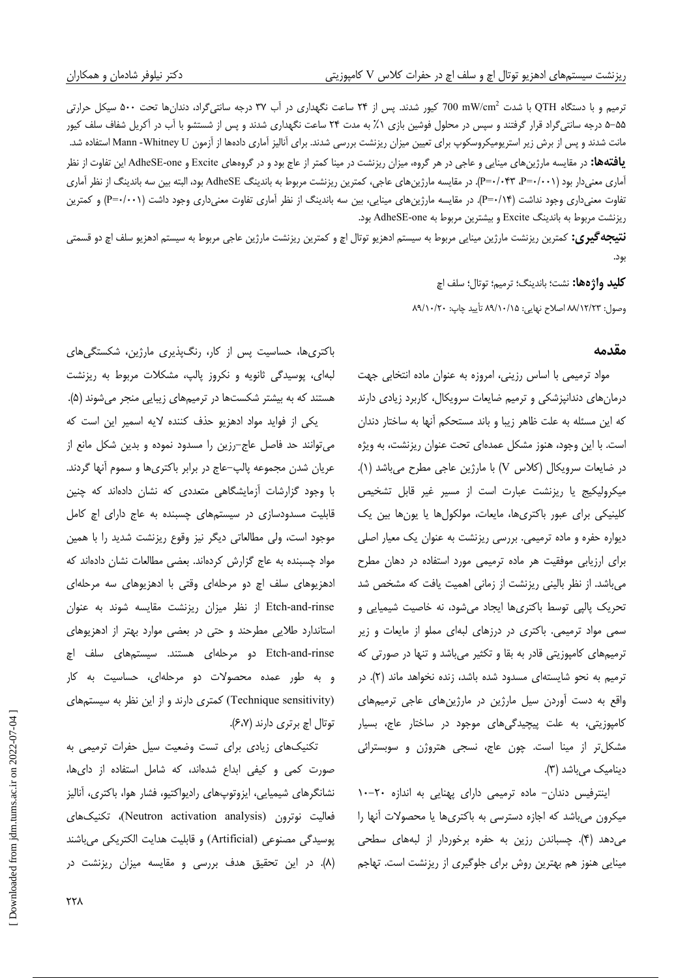ترمیم و با دستگاه QTH با شدت mW/cm<sup>2</sup> کیور شدند. پس از ۲۴ ساعت نگهداری در آب ۳۷ درجه سانتیگراد، دندانها تحت ۵۰۰ سیکل حرارتی ۵۵–۵ درجه سانتیگراد قرار گرفتند و سپس در محلول فوشین بازی ۰٪ به مدت ۲۴ ساعت نگهداری شدند و پس از شستشو با آب در آكریل شفاف سلف كیور مانت شدند و پس از برش زیر استریومیکروسکوپ برای تعیین میزان ریزنشت بررسی شدند. برای آنالیز آماری دادهها از آزمون Mann -Whitney U استفاده شد. **یافتهها:** در مقایسه مارژینهای مینایی و عاجی در هر گروه، میزان ریزنشت در مینا کمتر از عاج بود و در گروههای Excite و AdheSE-one این تفاوت از نظر آماری معنیدار بود (۱۰۰۱+P=۰/۰۴۳، ۲۰-P). در مقایسه مارژینهای عاجی، کمترین ریزنشت مربوط به باندینگ AdheSE بود، البته بین سه باندینگ از نظر آماری تفاوت معنیداری وجود نداشت (P=۰/۱۴). در مقایسه مارژینهای مینایی، بین سه باندینگ از نظر آماری تفاوت معنیداری وجود داشت (P=۰/۰۰۱) و کمترین ریزنشت مربوط به باندینگ Excite و بیشترین مربوط به AdheSE-one بود.

**نتیجه گیری:** کمترین ریزنشت مارژین مینایی مربوط به سیستم ادهزیو توتال اچ و کمترین ریزنشت مارژین عاجی مربوط به سیستم ادهزیو سلف اچ دو قسمتی بود.

> **كليد واژهها:** نشت؛ باندينگ؛ ترميم؛ توتال؛ سلف اچ وصول: ٨٩/١٢/٢٣ اصلاح نهايي: ٨٩/١٠/١٥ تأييد چاپ: ٨٩/١٠/٢٠

### مقدمه

مواد ترمیمی با اساس رزینی، امروزه به عنوان ماده انتخابی جهت درمان های دندانپزشکی و ترمیم ضایعات سرویکال، کاربرد زیادی دارند که این مسئله به علت ظاهر زیبا و باند مستحکم آنها به ساختار دندان است. با این وجود، هنوز مشکل عمدهای تحت عنوان ریزنشت، به ویژه در ضایعات سرویکال (کلاس V) با مارژین عاجی مطرح می باشد (۱). میکرولیکیج یا ریزنشت عبارت است از مسیر غیر قابل تشخیص کلینیکی برای عبور باکتریها، مایعات، مولکولها یا یونها بین یک دیواره حفره و ماده ترمیمی. بررسی ریزنشت به عنوان یک معیار اصلی برای ارزیابی موفقیت هر ماده ترمیمی مورد استفاده در دهان مطرح میباشد. از نظر بالینی ریزنشت از زمانی اهمیت یافت که مشخص شد تحریک پالپی توسط باکتریها ایجاد میشود، نه خاصیت شیمیایی و سمی مواد ترمیمی. باکتری در درزهای لبهای مملو از مایعات و زیر ترمیمهای کامپوزیتی قادر به بقا و تکثیر میباشد و تنها در صورتی که ترمیم به نحو شایستهای مسدود شده باشد، زنده نخواهد ماند (۲). در واقع به دست آوردن سیل مارژین در مارژینهای عاجی ترمیمهای کامپوزیتی، به علت پیچیدگیهای موجود در ساختار عاج، بسیار مشکل تر از مینا است. چون عاج، نسجی هتروژن و سوبسترائی دینامیک می باشد (۳).

اینترفیس دندان- ماده ترمیمی دارای پهنایی به اندازه ٢٠-١٠ میکرون میباشد که اجازه دسترسی به باکتریها یا محصولات أنها را میدهد (۴). چسباندن رزین به حفره برخوردار از لبههای سطحی مینایی هنوز هم بهترین روش برای جلوگیری از ریزنشت است. تهاجم

باکتریها، حساسیت پس از کار، رنگپذیری مارژین، شکستگیهای لبهای، یوسیدگی ثانویه و نکروز پالپ، مشکلات مربوط به ریزنشت هستند که به بیشتر شکستها در ترمیمهای زیبایی منجر میشوند (۵). یکی از فواید مواد ادهزیو حذف کننده لایه اسمیر این است که می توانند حد فاصل عاج-رزین را مسدود نموده و بدین شکل مانع از عریان شدن مجموعه پالپ–عاج در برابر باکتریها و سموم آنها گردند. با وجود گزارشات آزمایشگاهی متعددی که نشان دادهاند که چنین قابلیت مسدودسازی در سیستمهای چسبنده به عاج دارای اچ کامل موجود است، ولی مطالعاتی دیگر نیز وقوع ریزنشت شدید را با همین مواد چسبنده به عاج گزارش كردهاند. بعضى مطالعات نشان دادهاند كه ادهزیوهای سلف اچ دو مرحلهای وقتی با ادهزیوهای سه مرحلهای Etch-and-rinse از نظر میزان ریزنشت مقایسه شوند به عنوان استاندارد طلایی مطرحند و حتی در بعضی موارد بهتر از ادهزیوهای Etch-and-rinse دو مرحلهای هستند. سیستمهای سلف اچ و به طور عمده محصولات دو مرحلهای، حساسیت به کار (Technique sensitivity) کمتری دارند و از این نظر به سیستمهای توتال اچ برتري دارند (۶،۷).

تکنیکهای زیادی برای تست وضعیت سیل حفرات ترمیمی به صورت کمی و کیفی ابداع شدهاند، که شامل استفاده از دایها، نشانگرهای شیمیایی، ایزوتوپهای رادیواکتیو، فشار هوا، باکتری، آنالیز فعالیت نوترون (Neutron activation analysis)، تکنیکهای يوسيدگي مصنوعي (Artificial) و قابليت هدايت الكتريكي مي باشند (۸). در این تحقیق هدف بررسی و مقایسه میزان ریزنشت در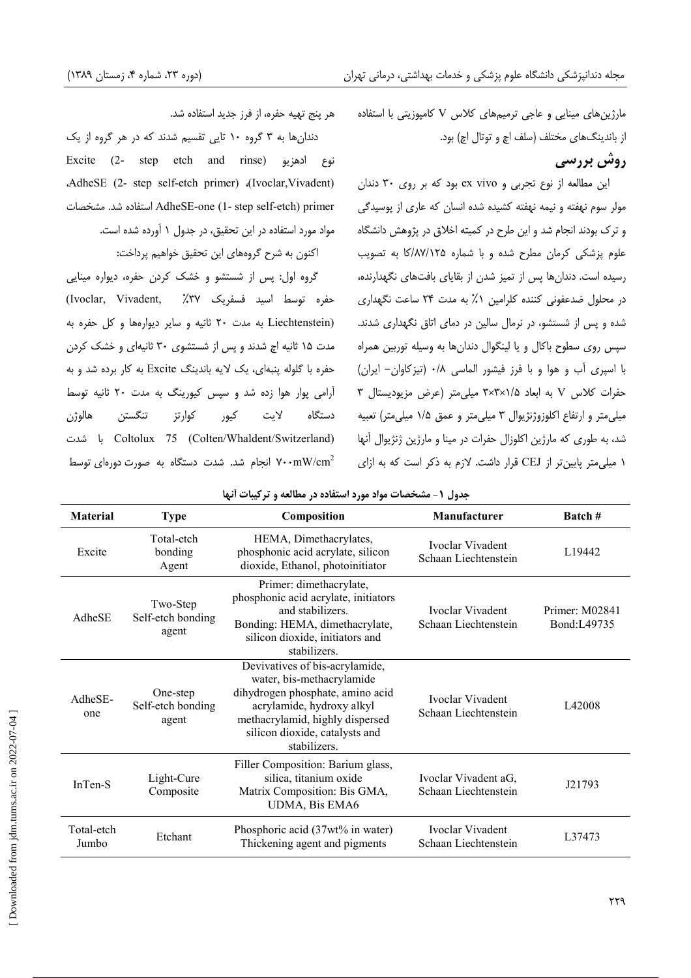هر پنج تهیه حفره، از فرز جدید استفاده شد.

دندان ها به ۳ گروه ۱۰ تایی تقسیم شدند که در هر گروه از یک Excite (2- step etch and rinse) نوع ادهزیو AdheSE (2- step self-etch primer) (Ivoclar, Vivadent) AdheSE-one (1- step self-etch) primer استفاده شد. مشخصات مواد مورد استفاده در این تحقیق، در جدول ۱ آورده شده است.

اكنون به شرح گروههاى اين تحقيق خواهيم پرداخت:

گروه اول: پس از شستشو و خشک کردن حفره، دیواره مینایی حفره توسط اسيد فسفريک ٣٧٪. .Ivoclar, Vivadent) (Liechtenstein به مدت ٢٠ ثانيه و ساير ديوارهها و كل حفره به مدت ۱۵ ثانیه اچ شدند و پس از شستشوی ۳۰ ثانیهای و خشک کردن حفره با گلوله پنبهای، یک لایه باندینگ Excite به کار برده شد و به آرامی یوار هوا زده شد و سپس کیورینگ به مدت ۲۰ ثانیه توسط لايت كيور کوار تز دستگاه هالوژن تنگستن ا شدت Coltolux 75 (Colten/Whaldent/Switzerland) انجام شد. شدت دستگاه به صورت دورهای توسط ۷۰۰ $\rm{mW/cm}^2$  مارژینهای مینایی و عاجی ترمیمهای کلاس V کامپوزیتی با استفاده از باندينگهاي مختلف (سلف اچ و توتال اچ) بود.

### **روش بررسی**

این مطالعه از نوع تجربی و ex vivo بود که بر روی ٣٠ دندان مولر سوم نهفته و نیمه نهفته کشیده شده انسان که عاری از پوسیدگی و ترک بودند انجام شد و این طرح در کمیته اخلاق در پژوهش دانشگاه علوم پزشکی کرمان مطرح شده و با شماره ۱۲۵/۸۷/۱۲۵ به تصویب رسیده است. دندانها پس از تمیز شدن از بقایای بافتهای نگهدارنده، در محلول ضدعفونی کننده کلرامین ۱٪ به مدت ۲۴ ساعت نگهداری شده و پس از شستشو، در نرمال سالین در دمای اتاق نگهداری شدند. سپس روی سطوح باکال و یا لینگوال دندانها به وسیله توربین همراه با اسپری أب و هوا و با فرز فیشور الماسی ۰/۸ (تیزکاوان- ایران) حفرات كلاس V به ابعاد ٣x٣x١/٥ ميلي متر (عرض مزيوديستال ٣ میلی متر و ارتفاع اکلوزوژنژیوال ۳ میلی متر و عمق ۱/۵ میلی متر) تعبیه شد، به طوری که مارژین اکلوزال حفرات در مینا و مارژین ژنژیوال آنها ۱ میلی متر پایین تر از CEJ قرار داشت. لازم به ذکر است که به ازای

| <b>Material</b>     | <b>Type</b>                            | Composition                                                                                                                                                                                                       | Manufacturer                                 | Batch #                       |
|---------------------|----------------------------------------|-------------------------------------------------------------------------------------------------------------------------------------------------------------------------------------------------------------------|----------------------------------------------|-------------------------------|
| Excite              | Total-etch<br>bonding<br>Agent         | HEMA, Dimethacrylates,<br>phosphonic acid acrylate, silicon<br>dioxide, Ethanol, photoinitiator                                                                                                                   | Ivoclar Vivadent<br>Schaan Liechtenstein     | L19442                        |
| AdheSE              | Two-Step<br>Self-etch bonding<br>agent | Primer: dimethacrylate,<br>phosphonic acid acrylate, initiators<br>and stabilizers.<br>Bonding: HEMA, dimethacrylate,<br>silicon dioxide, initiators and<br>stabilizers.                                          | Ivoclar Vivadent<br>Schaan Liechtenstein     | Primer: M02841<br>Bond:L49735 |
| AdheSE-<br>one      | One-step<br>Self-etch bonding<br>agent | Devivatives of bis-acrylamide,<br>water, bis-methacrylamide<br>dihydrogen phosphate, amino acid<br>acrylamide, hydroxy alkyl<br>methacrylamid, highly dispersed<br>silicon dioxide, catalysts and<br>stabilizers. | Ivoclar Vivadent<br>Schaan Liechtenstein     | L42008                        |
| InTen-S             | Light-Cure<br>Composite                | Filler Composition: Barium glass,<br>silica, titanium oxide<br>Matrix Composition: Bis GMA,<br><b>UDMA, Bis EMA6</b>                                                                                              | Ivoclar Vivadent aG,<br>Schaan Liechtenstein | J21793                        |
| Total-etch<br>Jumbo | Etchant                                | Phosphoric acid (37wt% in water)<br>Thickening agent and pigments                                                                                                                                                 | Ivoclar Vivadent<br>Schaan Liechtenstein     | L37473                        |

جدول ۱- مشخصات مواد مورد استفاده در مطالعه و ترکیبات أنها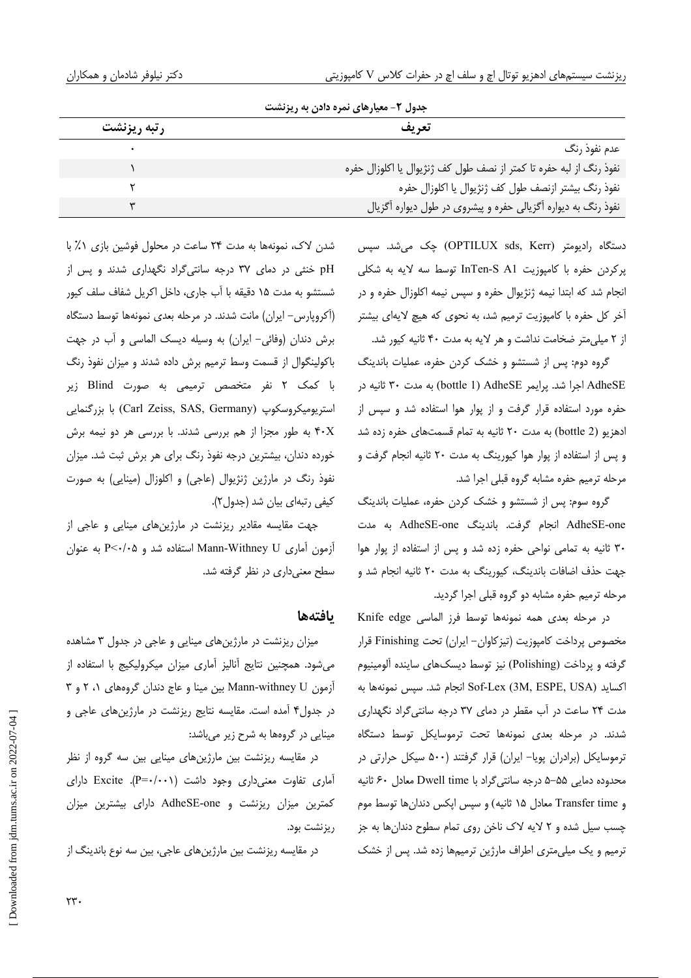| جدول ۳- معیارهای نمره دادن به ریزنشت                               |             |  |  |
|--------------------------------------------------------------------|-------------|--|--|
| تعريف                                                              | رتبه ريزنشت |  |  |
| عدم نفوذ رنگ                                                       |             |  |  |
| نفوذ رنگ از لبه حفره تا كمتر از نصف طول كف ژنژيوال يا اكلوزال حفره |             |  |  |
| نفوذ رنگ بیشتر ازنصف طول کف ژنژیوال یا اکلوزال حفره                |             |  |  |
| نفوذ رنگ به دیواره اَگزیالی حفره و پیشروی در طول دیواره اَگزیال    |             |  |  |

دستگاه رادیومتر (OPTILUX sds, Kerr) چک میشد. سپس پرکردن حفره با کامپوزیت InTen-S A1 توسط سه لایه به شکلی انجام شد که ابتدا نیمه ژنژیوال حفره و سپس نیمه اکلوزال حفره و در أخر کل حفره با کامپوزیت ترمیم شد، به نحوی که هیچ لایهای بیشتر از ۲ میلی متر ضخامت نداشت و هر لایه به مدت ۴۰ ثانیه کیور شد.

گروه دوم: پس از شستشو و خشک کردن حفره، عملیات باندینگ AdheSE اجرا شد. پرایمر AdheSE ) AdheSE به مدت ۳۰ ثانیه در حفره مورد استفاده قرار گرفت و از پوار هوا استفاده شد و سپس از ادهزیو (bottle 2) به مدت ۲۰ ثانیه به تمام قسمتهای حفره زده شد و پس از استفاده از پوار هوا کیورینگ به مدت ۲۰ ثانیه انجام گرفت و مرحله ترمیم حفره مشابه گروه قبلی اجرا شد.

گروه سوم: پس از شستشو و خشک کردن حفره، عملیات باندینگ AdheSE-one انجام گرفت. باندینگ AdheSE-one به مدت ۳۰ ثانیه به تمامی نواحی حفره زده شد و پس از استفاده از پوار هوا جهت حذف اضافات باندینگ، کیورینگ به مدت ۲۰ ثانیه انجام شد و مرحله ترمیم حفره مشابه دو گروه قبلی اجرا گردید.

در مرحله بعدى همه نمونهها توسط فرز الماسى Knife edge مخصوص يرداخت كاميوزيت (تيزكاوان– ايران) تحت Finishing قرار گرفته و پرداخت (Polishing) نیز توسط دیسکـهای ساینده آلومینیوم اكسايد Sof-Lex (3M, ESPE, USA) انجام شد. سپس نمونهها به مدت ۲۴ ساعت در آب مقطر در دمای ۳۷ درجه سانتی گراد نگهداری شدند. در مرحله بعدی نمونهها تحت ترموسایکل توسط دستگاه ترموسایکل (برادران پویا- ایران) قرار گرفتند (۵۰۰ سیکل حرارتی در محدوده دمایی ۵۵–۵ درجه سانتی گراد با Dwell time معادل ۶۰ ثانیه و Transfer time معادل ۱۵ ثانیه) و سپس اپکس دندانها توسط موم چسب سیل شده و ۲ لایه لاک ناخن روی تمام سطوح دندانها به جز ترمیم و یک میلی متری اطراف مارژین ترمیمها زده شد. پس از خشک

شدن لاک، نمونهها به مدت ٢۴ ساعت در محلول فوشین بازی ١٪ با pH خنثی در دمای ۳۷ درجه سانتی گراد نگهداری شدند و پس از شستشو به مدت ۱۵ دقیقه با آب جاری، داخل اکریل شفاف سلف کیور (آکروپارس– ایران) مانت شدند. در مرحله بعدی نمونهها توسط دستگاه برش دندان (وفائی- ایران) به وسیله دیسک الماسی و آب در جهت باکولینگوال از قسمت وسط ترمیم برش داده شدند و میزان نفوذ رنگ با کمک ۲ نفر متخصص ترمیمی به صورت Blind زیر استریومیکروسکوپ (Carl Zeiss, SAS, Germany) با بزرگنمایی به طور مجزا از هم بررسی شدند. با بررسی هر دو نیمه برش خورده دندان، بیشترین درجه نفوذ رنگ برای هر برش ثبت شد. میزان نفوذ رنگ در مارژین ژنژیوال (عاجی) و اکلوزال (مینایی) به صورت كيفي رتبهاي بيان شد (جدول ٢).

جهت مقایسه مقادیر ریزنشت در مارژینهای مینایی و عاجی از آزمون آماری Mann-Withney U استفاده شد و P<۰/۰۵ به عنوان سطح معنی داری در نظر گرفته شد.

### بافتهها

میزان ریزنشت در مارژینهای مینایی و عاجی در جدول ۳ مشاهده میشود. همچنین نتایج أنالیز أماری میزان میکرولیکیج با استفاده از آزمون Mann-withney U بین مینا و عاج دندان گروههای ۱، ۲ و ۳ در جدول۴ آمده است. مقایسه نتایج ریزنشت در مارژینهای عاجی و مینایی در گروهها به شرح زیر میباشد:

در مقایسه ریزنشت بین مارژینهای مینایی بین سه گروه از نظر آماری تفاوت معنیداری وجود داشت (P=۰/۰۰۱). Excite دارای کمترین میزان ریزنشت و AdheSE-one دارای بیشترین میزان ریزنشت بود.

در مقایسه ریزنشت بین مارژینهای عاجی، بین سه نوع باندینگ از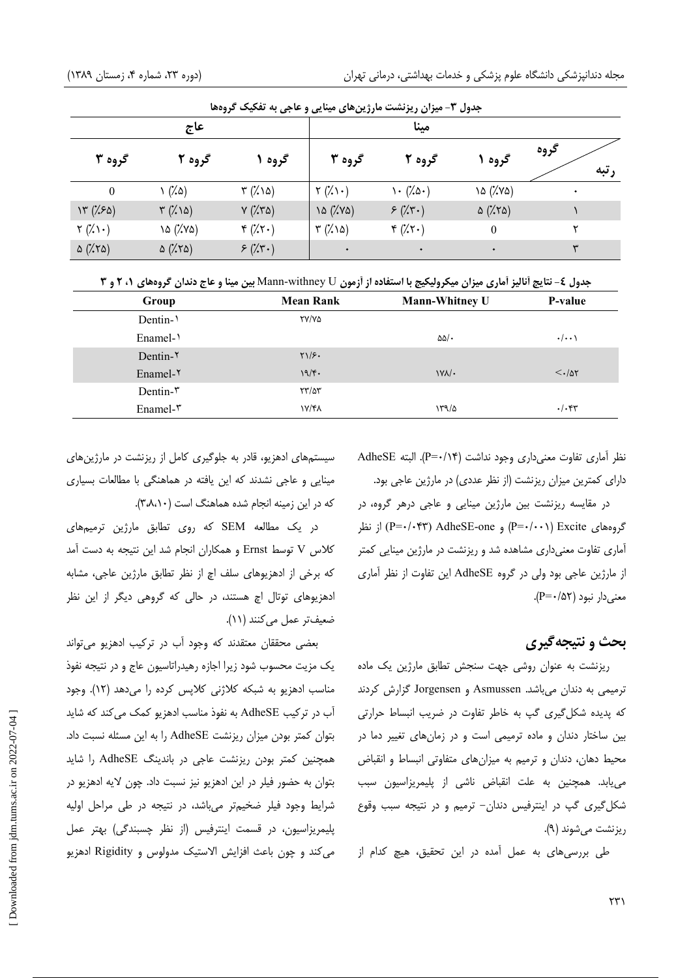| جدول ۳- میزان ریزنشت مارژینهای مینایی و عاجی به تفکیک گروهها |                             |                          |                          |                      |                         |              |
|--------------------------------------------------------------|-----------------------------|--------------------------|--------------------------|----------------------|-------------------------|--------------|
| عاج                                                          |                             |                          | مىنا                     |                      |                         |              |
| گروه ۳                                                       | گروه ۲                      | گروه ۱                   | گروه ۳                   | گروه ۲               | گروه                    | گروه<br>رتبه |
| $\mathbf{0}$                                                 | $\wedge$ $(\lambda \wedge)$ | $\forall$ (%) $\delta$ ) | $\gamma$ (%) $\cdot$ )   | $\cdot$ (% $\circ$ ) | ۱۵ (%۷۵)                |              |
| Y''(150)                                                     | $\forall$ (%) $\Delta$ )    | $Y(X^{\prime})$          | 10 (%Y۵)                 | $5(x^2 + y^2)$       | $\Delta$ (% $\lambda$ ) |              |
| $\mathbf{Y}(\mathbf{X})\cdot$                                | 10 (%)                      | $f(x,\tau)$              | $\forall$ (%) $\delta$ ) | $f(x,\tau)$          | $\boldsymbol{0}$        | ۲            |
| $\Delta$ (% $\lambda$ )                                      | $\Delta$ (% $\lambda$ 0)    | $5(x^2 + y^2)$           | $\bullet$                | $\bullet$            | ۰                       | ٣            |

جدول ٤- نتايج أناليز أماري ميزان ميكروليكيج با استفاده از أزمون Mann-withney U بين مينا و عاج دندان گروههاي ١، ٢ و ٣

| Group                        | <b>Mean Rank</b>    | <b>Mann-Whitney U</b> | P-value            |
|------------------------------|---------------------|-----------------------|--------------------|
| Dentin-                      | <b>TY/YA</b>        |                       |                    |
| Enamel- $\lambda$            |                     | $\Delta\Delta/\cdot$  | $\cdot/\cdot\cdot$ |
| Dentin- $\gamma$             | $Y\1/F$             |                       |                    |
| Enamel- $\gamma$             | 19/F.               | $\frac{1}{\sqrt{2}}$  | $<$ ./ar           |
| $D$ entin- $\mathbf{r}$      | $\frac{1}{2}$       |                       |                    |
| Enamel- $\mathbf{\tilde{r}}$ | <b><i>IV/FA</i></b> | 179/2                 | $\cdot/\cdot$ ۴۳   |

سیستمهای ادهزیو، قادر به جلوگیری کامل از ریزنشت در مارژینهای مینایی و عاجی نشدند که این یافته در هماهنگی با مطالعات بسیاری که در این زمینه انجام شده هماهنگ است (۳،۸،۱۰).

در یک مطالعه SEM که روی تطابق مارژین ترمیمهای كلاس V توسط Ernst و همكاران انجام شد اين نتيجه به دست آمد که برخی از ادهزیوهای سلف اچ از نظر تطابق مارژین عاجی، مشابه ادهزیوهای توتال اچ هستند، در حالی که گروهی دیگر از این نظر ضعيف تر عمل مي كنند (١١).

بعضی محققان معتقدند که وجود آب در ترکیب ادهزیو می تواند یک مزیت محسوب شود زیرا اجازه رهیدراتاسیون عاج و در نتیجه نفوذ مناسب ادهزیو به شبکه کلاژنی کلاپس کرده را میدهد (١٢). وجود آب در ترکیب AdheSE به نفوذ مناسب ادهزیو کمک می کند که شاید بتوان كمتر بودن ميزان ريزنشت AdheSE را به اين مسئله نسبت داد. همچنین کمتر بودن ریزنشت عاجی در باندینگ AdheSE را شاید بتوان به حضور فیلر در این ادهزیو نیز نسبت داد. چون لایه ادهزیو در شرایط وجود فیلر ضخیمتر می باشد، در نتیجه در طی مراحل اولیه پلیمریزاسیون، در قسمت اینترفیس (از نظر چسبندگی) بهتر عمل می کند و چون باعث افزایش الاستیک مدولوس و Rigidity ادهزیو نظر أماري تفاوت معنىداري وجود نداشت (P=٠/١۴). البته AdheSE دارای کمترین میزان ریزنشت (از نظر عددی) در مارژین عاجی بود.

در مقایسه ریزنشت بین مارژین مینایی و عاجی درهر گروه، در گروههای P=۰/۰۴۳) AdheSE-one) و P=۰/۰۴۳) AdheSE-one آماری تفاوت معنیداری مشاهده شد و ریزنشت در مارژین مینایی کمتر از مارژین عاجی بود ولی در گروه AdheSE این تفاوت از نظر آماری معنی دار نبود (۵۲+-P).

### بحث و نتيجهگيري

ریزنشت به عنوان روشی جهت سنجش تطابق مارژین یک ماده ترمیمی به دندان میباشد. Asmussen و Jorgensen گزارش کردند که پدیده شکل گیری گپ به خاطر تفاوت در ضریب انبساط حرارتی بین ساختار دندان و ماده ترمیمی است و در زمانهای تغییر دما در محیط دهان، دندان و ترمیم به میزانهای متفاوتی انبساط و انقباض می یابد. همچنین به علت انقباض ناشی از پلیمریزاسیون سبب شکل گیری گپ در اینترفیس دندان- ترمیم و در نتیجه سبب وقوع ريزنشت مي شوند (۹).

طی بررسی های به عمل آمده در این تحقیق، هیچ کدام از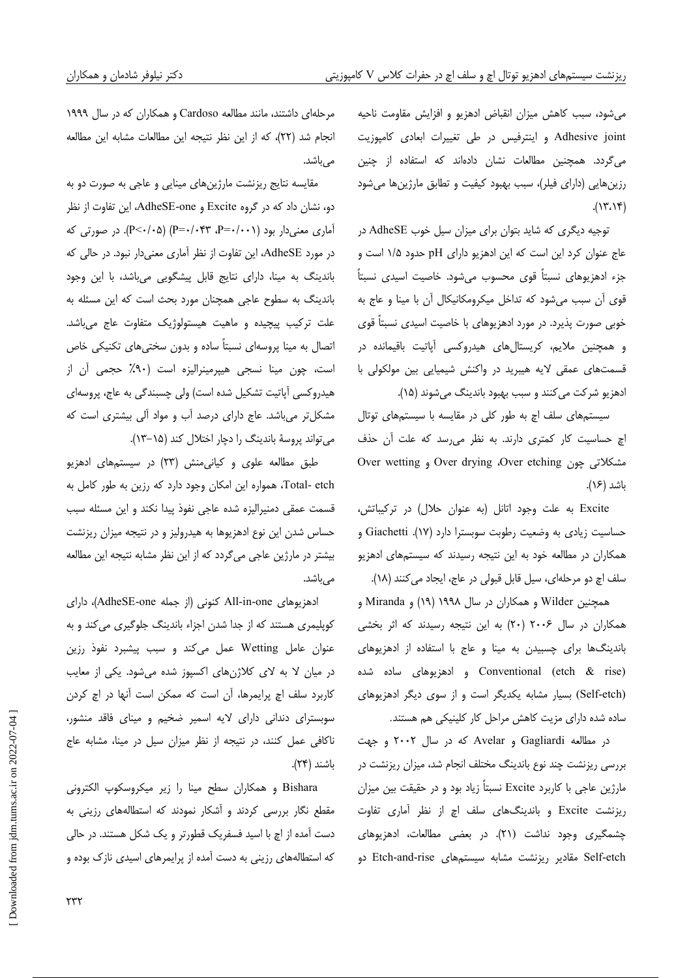میشود، سبب کاهش میزان انقباض ادهزیو و افزایش مقاومت ناحیه Adhesive joint و اینترفیس در طی تغییرات ابعادی کامپوزیت می گردد. همچنین مطالعات نشان دادهاند که استفاده از چنین رزینهایی (دارای فیلر)، سبب بهبود کیفیت و تطابق مارژینها میشود  $(17.19)$ 

توجیه دیگری که شاید بتوان برای میزان سیل خوب AdheSE در عاج عنوان کرد این است که این ادهزیو دارای pH حدود ۱/۵ است و جزء ادهزیوهای نسبتاً قوی محسوب میشود. خاصیت اسیدی نسبتاً قوی آن سبب می شود که تداخل میکرومکانیکال آن با مینا و عاج به خوبی صورت پذیرد. در مورد ادهزیوهای با خاصیت اسیدی نسبتاً قوی و همچنین ملایم، کریستالهای هیدروکسی آپاتیت باقیمانده در قسمتهای عمقی لایه هیبرید در واکنش شیمیایی بین مولکولی با ادهزيو شركت مي كنند و سبب بهبود باندينگ مي شوند (١۵).

سیستمهای سلف اچ به طور کلی در مقایسه با سیستمهای توتال اچ حساسیت کار کمتری دارند. به نظر می رسد که علت آن حذف Over wetting , Over drying ،Over etching و Over wetting ىاشد (۱۶).

Excite به علت وجود اتانل (به عنوان حلال) در تركيباتش، حساسيت زيادى به وضعيت رطوبت سوبسترا دارد (١٧). Giachetti و همکاران در مطالعه خود به این نتیجه رسیدند که سیستمهای ادهزیو سلف اچ دو مرحلهای، سیل قابل قبولی در عاج، ایجاد می کنند (١٨).

همچنین Wilder و همکاران در سال ۱۹۹۸ (۱۹) و Miranda و همکاران در سال ۲۰۰۶ (۲۰) به این نتیجه رسیدند که اثر بخشی باندینگها برای چسبیدن به مینا و عاج با استفاده از ادهزیوهای (etch & rise) و ادهزیوهای ساده شده (Self-etch) بسیار مشابه یکدیگر است و از سوی دیگر ادهزیوهای ساده شده دارای مزیت کاهش مراحل کار کلینیکی هم هستند.

در مطالعه Gagliardi و Avelar كه در سال ٢٠٠٢ و جهت بررسی ریزنشت چند نوع باندینگ مختلف انجام شد، میزان ریزنشت در مارژین عاجی با کاربرد Excite نسبتاً زیاد بود و در حقیقت بین میزان ریزنشت Excite و باندینگهای سلف اچ از نظر آماری تفاوت چشمگیری وجود نداشت (۲۱). در بعضی مطالعات، ادهزیوهای Self-etch مقادیر ریزنشت مشابه سیستمهای Etch-and-rise دو

مرحلهای داشتند، مانند مطالعه Cardoso و همکاران که در سال ۱۹۹۹ انجام شد (٢٢)، كه از اين نظر نتيجه اين مطالعات مشابه اين مطالعه مىباشد.

مقایسه نتایج ریزنشت مارژینهای مینایی و عاجی به صورت دو به دو، نشان داد که در گروه Excite و AdheSE-one، این تفاوت از نظر آماری معنی دار بود (۰۰۱–P=۰/۰۴۳، P=۰/۰۴۳). در صورتی که در مورد AdheSE، این تفاوت از نظر آماری معنیدار نبود. در حالی که باندینگ به مینا، دارای نتایج قابل پیشگویی میباشد، با این وجود باندینگ به سطوح عاجی همچنان مورد بحث است که این مسئله به علت ترکیب پیچیده و ماهیت هیستولوژیک متفاوت عاج میباشد. اتصال به مینا پروسهای نسبتاً ساده و بدون سختیهای تکنیکی خاص است، چون مینا نسجی هیپرمینرالیزه است (۹۰٪ حجمی آن از هیدروکسی آیاتیت تشکیل شده است) ولی چسبندگی به عاج، پروسهای مشکل تر می باشد. عاج دارای درصد آب و مواد آلی بیشتری است که می تواند پروسهٔ باندینگ را دچار اختلال کند (۱۵-۱۳).

طبق مطالعه علوی و کیانی منش (۲۳) در سیستمهای ادهزیو Total- etch، همواره این امکان وجود دارد که رزین به طور کامل به قسمت عمقی دمنیرالیزه شده عاجی نفوذ پیدا نکند و این مسئله سبب حساس شدن این نوع ادهزیوها به هیدرولیز و در نتیجه میزان ریزنشت بیشتر در مارژین عاجی میگردد که از این نظر مشابه نتیجه این مطالعه مے ،باشد.

ادهزیوهای All-in-one کنونی (از جمله AdheSE-one)، دارای کوپلیمری هستند که از جدا شدن اجزاء باندینگ جلوگیری می کند و به عنوان عامل Wetting عمل میکند و سبب پیشبرد نفوذ رزین در میان لا به لای کلاژنهای اکسپوز شده میشود. یکی از معایب كاربرد سلف اچ پرايمرها، آن است كه ممكن است آنها در اچ كردن سوبسترای دندانی دارای لایه اسمیر ضخیم و مینای فاقد منشور، ناکافی عمل کنند، در نتیجه از نظر میزان سیل در مینا، مشابه عاج باشند (٢۴).

Bishara و همكاران سطح مينا را زير ميكروسكوپ الكتروني مقطع نگار بررسی کردند و آشکار نمودند که استطالههای رزینی به دست آمده از اچ با اسید فسفریک قطورتر و یک شکل هستند. در حالی که استطالههای رزینی به دست آمده از پرایمرهای اسیدی نازک بوده و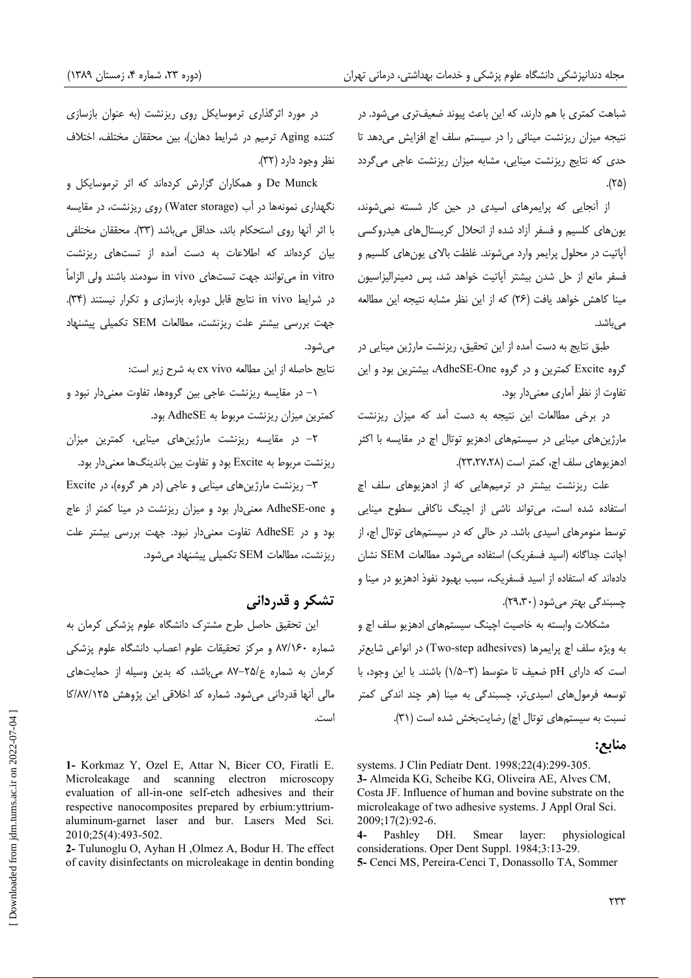شباهت کمتری با هم دارند، که این باعث پیوند ضعیفتری میشود. در نتیجه میزان ریزنشت مینائی را در سیستم سلف اچ افزایش می دهد تا حدی که نتایج ریزنشت مینایی، مشابه میزان ریزنشت عاجی میگردد  $\Lambda(\Upsilon \Delta)$ 

از آنجایی که پرایمرهای اسیدی در حین کار شسته نمی شوند، یون های کلسیم و فسفر آزاد شده از انحلال کریستال های هیدروکسی آیاتیت در محلول پرایمر وارد می شوند. غلظت بالای پونهای کلسیم و فسفر مانع از حل شدن بیشتر آیاتیت خواهد شد، پس دمینرالیزاسیون مینا کاهش خواهد یافت (۲۶) که از این نظر مشابه نتیجه این مطالعه مى باشد.

طبق نتایج به دست آمده از این تحقیق، ریزنشت مارژین مینایی در گروه Excite کمترین و در گروه AdheSE-One، بیشترین بود و این تفاوت از نظر آماری معنیدار بود.

در برخی مطالعات این نتیجه به دست آمد که میزان ریزنشت مارژینهای مینایی در سیستمهای ادهزیو توتال اچ در مقایسه با اکثر ادهزيوهاى سلف اچ، كمتر است (٢٣،٢٧،٢٨).

علت ریزنشت بیشتر در ترمیمهایی که از ادهزیوهای سلف اچ استفاده شده است، می تواند ناشی از اچینگ ناکافی سطوح مینایی توسط منومرهای اسیدی باشد. در حالی که در سیستمهای توتال اچ، از اچانت جداگانه (اسید فسفریک) استفاده می شود. مطالعات SEM نشان دادهاند که استفاده از اسید فسفریک، سبب بهبود نفوذ ادهزیو در مینا و چسبندگی بهتر می شود (۲۹،۳۰).

مشکلات وابسته به خاصیت اچینگ سیستمهای ادهزیو سلف اچ و به ويژه سلف اچ پرايمرها (Two-step adhesives) در انواعي شايعتر است که دارای pH ضعیف تا متوسط (۳-۱/۵) باشند. با این وجود، با توسعه فرمول های اسیدی تر، چسبندگی به مینا (هر چند اندکی کمتر نسبت به سیستمهای توتال اچ) رضایتبخش شده است (۳۱).

#### منابع:

systems. J Clin Pediatr Dent. 1998;22(4):299-305. 3- Almeida KG, Scheibe KG, Oliveira AE, Alves CM, Costa JF. Influence of human and bovine substrate on the microleakage of two adhesive systems. J Appl Oral Sci. 2009;17(2):92-6.

physiological  $4-$ Pashley DH. Smear laver: considerations. Oper Dent Suppl. 1984;3:13-29.

5- Cenci MS, Pereira-Cenci T, Donassollo TA, Sommer

در مورد اثرگذاری ترموسایکل روی ریزنشت (به عنوان بازسازی كننده Aging ترميم در شرايط دهان)، بين محققان مختلف، اختلاف نظر وجود دارد (۳۲).

De Munck و همکاران گزارش کردهاند که اثر ترموسایکل و نگهداری نمونهها در آب (Water storage) روی ریزنشت، در مقایسه با اثر آنها روى استحكام باند، حداقل مى باشد (٣٣). محققان مختلفى بیان کردهاند که اطلاعات به دست آمده از تستهای ریزنشت in vitro مىتوانند جهت تستهاى in vivo سودمند باشند ولى الزاماً در شرایط in vivo نتایج قابل دوباره بازسازی و تکرار نیستند (۳۴). جهت بررسی بیشتر علت ریزنشت، مطالعات SEM تکمیلی پیشنهاد مے ,شود.

نتايج حاصله از اين مطالعه ex vivo به شرح زير است:

۱– در مقایسه ریزنشت عاجی بین گروهها، تفاوت معنیدار نبود و كمترين ميزان ريزنشت مربوط به AdheSE بود.

۲– در مقایسه ریزنشت مارژینهای مینایی، کمترین میزان ریزنشت مربوط به Excite بود و تفاوت بین باندینگ0ا معنیدار بود.

۳- ریزنشت مارژینهای مینایی و عاجی (در هر گروه)، در Excite و AdheSE-one معنىدار بود و ميزان ريزنشت در مينا كمتر از عاج بود و در AdheSE تفاوت معنیدار نبود. جهت بررسی بیشتر علت ریزنشت، مطالعات SEM تکمیلی پیشنهاد می شود.

## تشکر و قدردانی

این تحقیق حاصل طرح مشترک دانشگاه علوم پزشکی کرمان به شماره ۸۷/۱۶۰ و مرکز تحقیقات علوم اعصاب دانشگاه علوم پزشکی کرمان به شماره ع/۲۵–۸۷ می باشد، که بدین وسیله از حمایتهای مالی آنها قدردانی می شود. شماره کد اخلاقی این پژوهش ۸۷/۱۲۵/کا است.

1- Korkmaz Y, Ozel E, Attar N, Bicer CO, Firatli E. Microleakage and scanning electron microscopy evaluation of all-in-one self-etch adhesives and their respective nanocomposites prepared by erbium:yttriumaluminum-garnet laser and bur. Lasers Med Sci. 2010;25(4):493-502.

2- Tulunoglu O, Ayhan H, Olmez A, Bodur H. The effect of cavity disinfectants on microleakage in dentin bonding